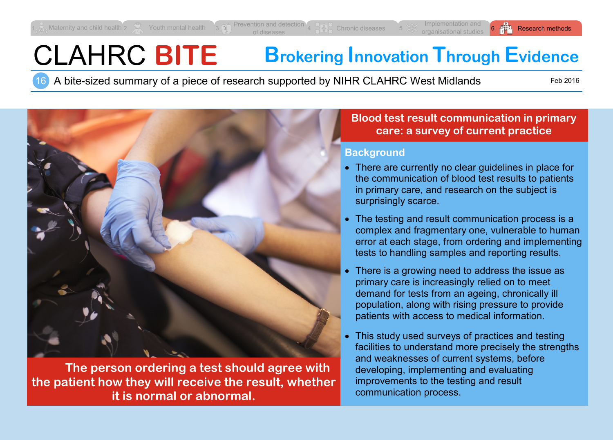# CLAHRC **BITE Brokering Innovation Through Evidence**

16 A bite-sized summary of a piece of research supported by NIHR CLAHRC West Midlands

Feb 2016



**The person ordering a test should agree with the patient how they will receive the result, whether it is normal or abnormal.**

# **Blood test result communication in primary care: a survey of current practice**

## **Background**

- There are currently no clear quidelines in place for the communication of blood test results to patients in primary care, and research on the subject is surprisingly scarce.
- The testing and result communication process is a complex and fragmentary one, vulnerable to human error at each stage, from ordering and implementing tests to handling samples and reporting results.
- There is a growing need to address the issue as primary care is increasingly relied on to meet demand for tests from an ageing, chronically ill population, along with rising pressure to provide patients with access to medical information.
- This study used surveys of practices and testing facilities to understand more precisely the strengths and weaknesses of current systems, before developing, implementing and evaluating improvements to the testing and result communication process.